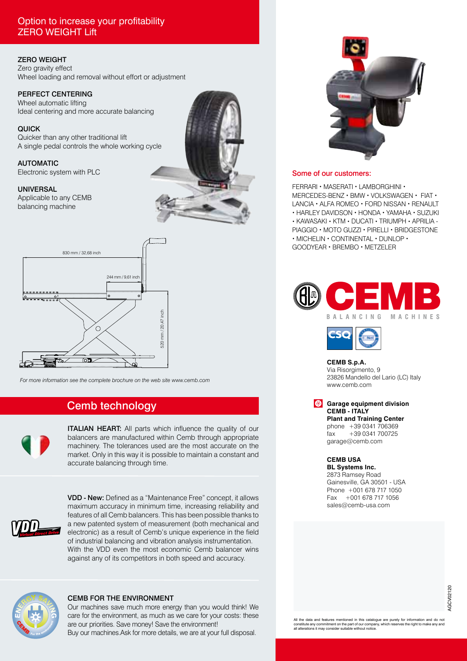### Option to increase your profitability ZERO WEIGHT Lift

#### ZERO WEIGHT

Zero gravity effect Wheel loading and removal without effort or adjustment

#### PERFECT CENTERING

Wheel automatic lifting Ideal centering and more accurate balancing

QUICK Quicker than any other traditional lift A single pedal controls the whole working cycle

AUTOMATIC

Electronic system with PLC

#### UNIVERSAL

Applicable to any CEMB balancing machine





*For more information see the complete brochure on the web site www.cemb.com*

## Cemb technology



**ITALIAN HEART:** All parts which influence the quality of our balancers are manufactured within Cemb through appropriate machinery. The tolerances used are the most accurate on the market. Only in this way it is possible to maintain a constant and accurate balancing through time.



VDD - New: Defined as a "Maintenance Free" concept, it allows maximum accuracy in minimum time, increasing reliability and features of all Cemb balancers. This has been possible thanks to a new patented system of measurement (both mechanical and electronic) as a result of Cemb's unique experience in the field of industrial balancing and vibration analysis instrumentation. With the VDD even the most economic Cemb balancer wins against any of its competitors in both speed and accuracy.



#### CEMB FOR THE ENVIRONMENT

Our machines save much more energy than you would think! We care for the environment, as much as we care for your costs: these are our priorities. Save money! Save the environment! Buy our machines.Ask for more details, we are at your full disposal.



#### Some of our customers:

FERRARI • MASERATI • LAMBORGHINI • MERCEDES-BENZ • BMW • VOLKSWAGEN • FIAT • LANCIA • ALFA ROMEO • FORD NISSAN • RENAULT • HARLEY DAVIDSON • HONDA • YAMAHA • SUZUKI • KAWASAKI • KTM • DUCATI • TRIUMPH • APRILIA - PIAGGIO • MOTO GUZZI • PIRELLI • BRIDGESTONE • MICHELIN • CONTINENTAL • DUNLOP • GOODYEAR • BREMBO • METZELER





**CEMB S.p.A.**

Via Risorgimento, 9 23826 Mandello del Lario (LC) Italy www.cemb.com

**Garage equipment division CEMB - ITALY Plant and Training Center**

phone +39 0341 706369 fax +39 0341 700725 garage@cemb.com

**CEMB USA**

**BL Systems Inc.** 2873 Ramsey Road Gainesville, GA 30501 - USA Phone +001 678 717 1050 Fax +001 678 717 1056 sales@cemb-usa.com

All the data and features mentioned in this catalogue are purely for information and do no constitute any commitment on the part of our company, which reserves the right to make any and all alterations it may consider suitable without notice.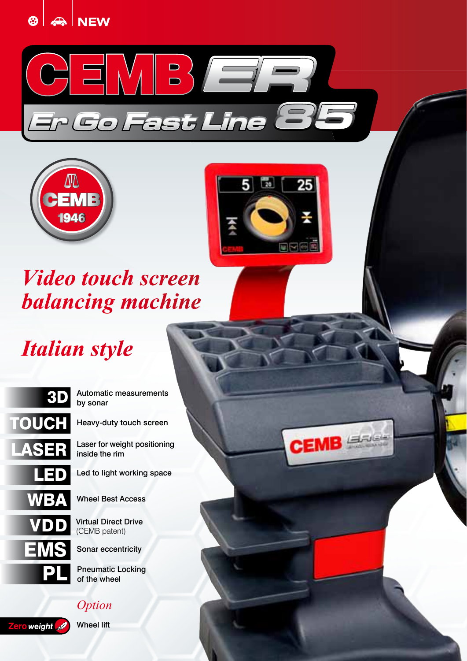







**CEMB** 

## *Video touch screen balancing machine*

# *Italian style*



## 3D Automatic measurements by sonar

Heavy-duty touch screen

Laser for weight positioning inside the rim

Led to light working space

Wheel Best Access

**Virtual Direct Drive**<br>(CEMB patent)

Sonar eccentricity

Pneumatic Locking<br>of the wheel

## *Option*

Zero weight

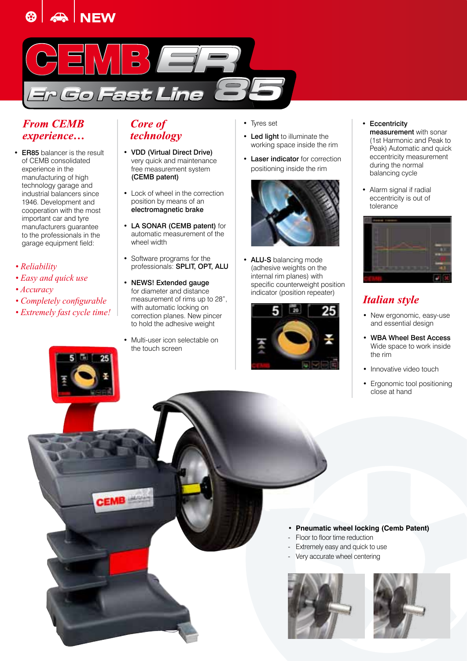



## *From CEMB experience…*

- ER85 balancer is the result of CEMB consolidated experience in the manufacturing of high technology garage and industrial balancers since 1946. Development and cooperation with the most important car and tyre manufacturers guarantee to the professionals in the garage equipment field:
- *Reliability*
- *Easy and quick use*
- *Accuracy*
- *Completely configurable*
- *Extremely fast cycle time!*

## *Core of technology*

- VDD (Virtual Direct Drive) very quick and maintenance free measurement system (CEMB patent)
- Lock of wheel in the correction position by means of an electromagnetic brake
- LA SONAR (CEMB patent) for automatic measurement of the wheel width
- Software programs for the professionals: SPLIT, OPT, ALU
- NEWS! Extended gauge for diameter and distance measurement of rims up to 28", with automatic locking on correction planes. New pincer to hold the adhesive weight
- Multi-user icon selectable on the touch screen

EMB

- Tyres set
- Led light to illuminate the working space inside the rim
- Laser indicator for correction positioning inside the rim



• ALU-S balancing mode (adhesive weights on the internal rim planes) with specific counterweight position indicator (position repeater)



• Eccentricity

measurement with sonar (1st Harmonic and Peak to Peak) Automatic and quick eccentricity measurement during the normal balancing cycle

• Alarm signal if radial eccentricity is out of tolerance



## *Italian style*

- New ergonomic, easy-use and essential design
- WBA Wheel Best Access Wide space to work inside the rim
- Innovative video touch
- Ergonomic tool positioning close at hand

#### • **Pneumatic wheel locking (Cemb Patent)**

- Floor to floor time reduction
- Extremely easy and quick to use
- Very accurate wheel centering